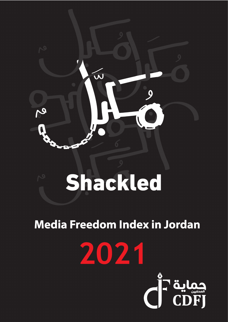

# **Media Freedom Index in Jordan**

2021

CH älga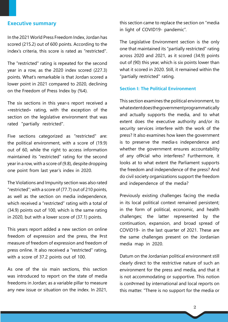# **Executive summary**

In the 2021 World Press Freedom Index, Jordan has scored (215.2) out of 600 points. According to the index's criteria, this score is rated as "restricted".

The "restricted" rating is repeated for the second year in a row, as the  $2020$  index scored  $(227.3)$ points. What's remarkable is that Jordan scored a lower point in 2021 compared to 2020, declining on the Freedom of Press Index by (%4).

The six sections in this year is report received a «restricted» rating, with the exception of the section on the legislative environment that was rated "partially restricted".

Five sections categorized as "restricted" are: the political environment, with a score of  $(19.9)$ out of 60, while the right to access information maintained its "restricted" rating for the second year in a row, with a score of  $(9.8)$ , despite dropping one point from last year's index in 2020.

The Violations and Impunity section was also rated "restricted"; with a score of (77.7) out of 210 points, as well as the section on media independence, which received a "restricted" rating with a total of  $(34.9)$  points out of 100, which is the same rating in 2020, but with a lower score of  $(37.1)$  points.

This years report added a new section on online freedom of expression and the press, the Prst measure of freedom of expression and freedom of press online. It also received a "restricted" rating, with a score of 37.2 points out of 100.

As one of the six main sections, this section was introduced to report on the state of media freedoms in Jordan; as a variable pillar to measure any new issue or situation on the index. In 2021, this section came to replace the section on "media in light of COVID19- pandemic".

The Legislative Environment section is the only one that maintained its "partially restricted" rating across 2020 and 2021, as it scored  $(34.9)$  points out of (90) this year, which is six points lower than what it scored in 2020. Still, it remained within the " partially restricted" rating.

# **Section I: The Political Environment**

This section examines the political environment, to what extent does the government programmatically and actually supports the media, and to what extent does the executive authority and/or its security services interfere with the work of the press? It also examines how keen the government is to preserve the media independence and whether the government ensures accountability of any ofÞcial who interferes? Furthermore, it looks at to what extent the Parliament supports the freedom and independence of the press? And do civil society organizations support the freedom and independence of the media?

Previously existing challenges facing the media in its local political context remained persistent; in the form of political, economic, and health challenges; the latter represented by the continuation, expansion, and broad spread of COVID19- in the last quarter of 2021. These are the same challenges present on the Jordanian media map in 2020.

Datum on the Jordanian political environment still clearly direct to the restrictive nature of such an environment for the press and media, and that it is not accommodating or supportive. This notion is con Prmed by international and local reports on this matter. "There is no support for the media or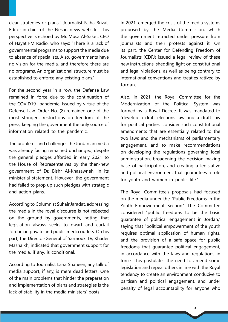clear strategies or plans." Journalist Falha Brizat, Editor-in-chief of the Nesan news website. This perspective is echoed by Mr. Musa Al-Saket, CEO of Hayat FM Radio, who says: "There is a lack of governmental programs to support the media due to absence of specialists. Also, governments have no vision for the media, and therefore there are no programs. An organizational structure must be established to enforce any existing plans."

For the second year in a row, the Defense Law remained in force due to the continuation of the COVID19- pandemic. Issued by virtue of the Defense Law, Order No. (8) remained one of the most stringent restrictions on freedom of the press, keeping the government the only source of information related to the pandemic.

The problems and challenges the Jordanian media was already facing remained unchanged, despite the general pledges afforded in early 2021 to the House of Representatives by the then-new government of Dr. Bishr Al-Khasawneh, in its ministerial statement. However, the government had failed to prop up such pledges with strategic and action plans.

According to Columnist Suhair Jaradat, addressing the media in the royal discourse is not reßected on the ground by governments, noting that legislation always seeks to dwarf and curtail Jordanian private and public media outlets. On his part, the Director-General of Yarmouk TV, Khader Mashaikh, indicated that government support for the media, if any, is conditional.

According to Journalist Lana Shaheen, any talk of media support, if any, is mere dead letters. One of the main problems that hinder the preparation and implementation of plans and strategies is the lack of stability in the media ministers' posts.

In 2021, emerged the crisis of the media systems proposed by the Media Commission, which the government retracted under pressure from journalists and their protests against it. On its part, the Center for Defending Freedom of Journalists (CDFJ) issued a legal review of these new instructions, shedding light on constitutional and legal violations, as well as being contrary to international conventions and treaties ratiÞed by .Jordan

Also, in 2021, the Royal Committee for the Modernization of the Political System was formed by a Royal Decree. It was mandated to "develop a draft elections law and a draft law for political parties, consider such constitutional amendments that are essentially related to the two laws and the mechanisms of parliamentary engagement, and to make recommendations on developing the regulations governing local administration, broadening the decision-making base of participation, and creating a legislative and political environment that quarantees a role for youth and women in public life."

The Royal Committee's proposals had focused on the media under the "Public Freedoms in the Youth Empowerment Section." The Committee considered "public freedoms to be the basic quarantee of political engagement in Jordan," saying that "political empowerment of the youth requires optimal application of human rights, and the provision of a safe space for public freedoms that quarantee political engagement, in accordance with the laws and regulations in force. This postulates the need to amend some legislation and repeal others in line with the Royal tendency to create an environment conducive to partisan and political engagement, and under penalty of legal accountability for anyone who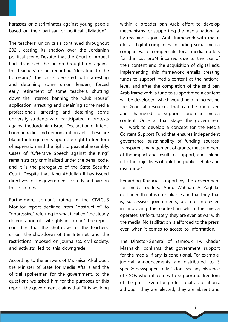harasses or discriminates against young people based on their partisan or political afPliation".

The teachers' union crisis continued throughout 2021, casting its shadow over the Jordanian political scene. Despite that the Court of Appeal had dismissed the action brought up against the teachers' union regarding "donating to the homeland," the crisis persisted with arresting and detaining some union leaders, forced early retirement of some teachers, shutting down the Internet, banning the "Club House" application, arresting and detaining some media professionals, arresting and detaining some university students who participated in protests against the Jordanian-Israeli Declaration of Intent, banning rallies and demonstrations, etc. These are blatant infringements upon the right to freedom of expression and the right to peaceful assembly. Cases of "Offensive Speech against the King" remain strictly criminalized under the penal code, and it is the prerogative of the State Security Court. Despite that, King Abdullah II has issued directives to the government to study and pardon these crimes

Furthermore, Jordan's rating in the CIVICUS Monitor report declined from "obstructive" to "oppressive," referring to what it called "the steady deterioration of civil rights in Jordan." The report considers that the shut-down of the teachers' union, the shut-down of the Internet, and the restrictions imposed on journalists, civil society, and activists, led to this downgrade.

According to the answers of Mr. Faisal Al-Shboul; the Minister of State for Media Affairs and the ofPcial spokesman for the government, to the questions we asked him for the purposes of this report, the government claims that "it is working within a broader pan Arab effort to develop mechanisms for supporting the media nationally, by reaching a joint Arab framework with major global digital companies, including social media companies, to compensate local media outlets for the lost proPt incurred due to the use of their content and the acquisition of digital ads. Implementing this framework entails creating funds to support media content at the national level, and after the completion of the said pan Arab framework, a fund to support media content will be developed, which would help in increasing the Pnancial resources that can be mobilized and channeled to support Jordanian media content. Once at that stage, the government will work to develop a concept for the Media Content Support Fund that ensures independent governance, sustainability of funding sources, transparent management of grants, measurement of the impact and results of support, and linking it to the objectives of uplifting public debate and discourse."

Regarding Þnancial support by the government for media outlets, Abdul-Wahhab Al-Zaghilat explained that it is unthinkable and that they, that is, successive governments, are not interested in improving the context in which the media operates. Unfortunately, they are even at war with the media. No facilitation is afforded to the press, even when it comes to access to information

The Director-General of Yarmouk TV, Khader Mashaikh, conÞrms that government support for the media, if any, is conditional. For example, judicial announcements are distributed to 3 speciÞc newspapers only. "I don't see any inßuence of CSOs when it comes to supporting freedom of the press. Even for professional associations; although they are elected, they are absent and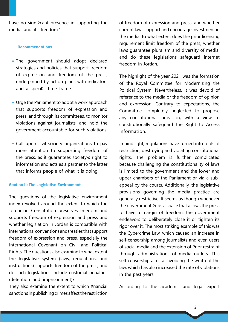have no signiÞcant presence in supporting the media and its freedom."

### Recommendations

- The government should adopt declared strategies and policies that support freedom of expression and freedom of the press, underpinned by action plans with indicators and a speciÞc time frame.
- Urge the Parliament to adopt a work approach that supports freedom of expression and press, and through its committees, to monitor violations against journalists, and hold the government accountable for such violations.
- **-** Call upon civil society organizations to pay more attention to supporting freedom of the press, as it guarantees society's right to information and acts as a partner to the latter that informs people of what it is doing.

### **Section II: The Legislative Environment**

The questions of the legislative environment index revolved around the extent to which the Jordanian Constitution preserves freedom and supports freedom of expression and press and whether legislation in Jordan is compatible with international conventions and treaties that support freedom of expression and press, especially the International Covenant on Civil and Political Rights. The questions also examine to what extent the legislative system (laws, regulations, and instructions) supports freedom of the press, and do such legislations include custodial penalties (detention and imprisonment)?

They also examine the extent to which Pnancial sanctions in publishing crimes affect the restriction of freedom of expression and press, and whether current laws support and encourage investment in the media, to what extent does the prior licensing requirement limit freedom of the press, whether laws quarantee pluralism and diversity of media, and do these legislations safeguard internet freedom in Jordan.

The highlight of the year 2021 was the formation of the Royal Committee for Modernizing the Political System. Nevertheless, it was devoid of reference to the media or the freedom of opinion and expression. Contrary to expectations, the Committee completely neglected to propose any constitutional provision, with a view to constitutionally safeguard the Right to Access .Information

In hindsight, regulations have turned into tools of restriction, destroying and violating constitutional rights. The problem is further complicated because challenging the constitutionality of laws is limited to the government and the lower and appeal by the courts. Additionally, the legislative upper chambers of the Parliament or via a subprovisions governing the media practice are generally restrictive. It seems as though whenever the government Pnds a space that allows the press to have a margin of freedom, the government endeavors to deliberately close it or tighten its rigor over it. The most striking example of this was the Cybercrime Law, which caused an increase in self-censorship among journalists and even users of social media and the extension of Prior restraint through administrations of media outlets. This self-censorship aims at avoiding the wrath of the law, which has also increased the rate of violations in the past years.

According to the academic and legal expert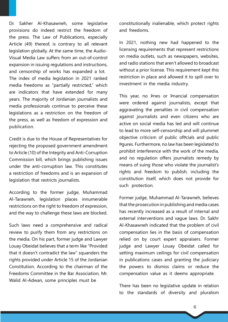Dr. Sakher Al-Khasawneh, some legislative provisions do indeed restrict the freedom of the press. The Law of Publications, especially Article (49) thereof, is contrary to all relevant Visual Media Law suffers from an out-of-control legislation globally. At the same time, the Audioexpansion in issuing regulations and instructions. and censorship of works has expanded a lot. The index of media legislation in 2021 ranked media freedoms as "partially restricted," which are indicators that have extended for many years. The majority of Jordanian journalists and media professionals continue to perceive these legislations as a restriction on the freedom of the press, as well as freedom of expression and

Credit is due to the House of Representatives for rejecting the proposed government amendment to Article (10) of the Integrity and Anti-Corruption Commission bill, which brings publishing issues under the anti-corruption law. This constitutes a restriction of freedoms and is an expansion of legislation that restricts journalists.

.publication

According to the former judge, Muhammad Al-Tarawneh, legislation places innumerable restrictions on the right to freedom of expression, and the way to challenge these laws are blocked.

Such laws need a comprehensive and radical review to purify them from any restrictions on the media. On his part, former judge and Lawyer Louay Obeidat believes that a term like "Provided that it doesn't contradict the law" squanders the rights provided under Article 15 of the Jordanian Constitution. According to the chairman of the Freedoms Committee in the Bar Association, Mr. Walid Al-Adwan, some principles must be

constitutionally inalienable, which protect rights and freedoms.

In 2021, nothing new had happened to the licensing requirements that represent restrictions on media outlets, such as newspapers, websites, and radio stations that aren't allowed to broadcast without a prior license. This requirement kept this restriction in place and allowed it to spill over to investment in the media industry.

This year, no Þnes or Þnancial compensation were ordered against journalists, except that aggravating the penalties in civil compensation against journalists and even citizens who are active on social media has led and will continue to lead to more self-censorship and will plummet objective criticism of public of Pcials and public bqures. Furthermore, no law has been legislated to prohibit interference with the work of the media, and no regulation offers journalists remedy by means of suing those who violate the journalist's rights and freedom to publish, including the constitution itself, which does not provide for such protection.

Former judge, Muhammad Al-Tarawneh, believes that the prosecution in publishing and media cases has recently increased as a result of internal and external interventions and vague laws. Dr. Sakhr Al-Khasawneh indicated that the problem of civil compensation lies in the basis of compensation relied on by court expert appraisers. Former judge and Lawyer Louay Obeidat called for setting maximum ceilings for civil compensation in publications cases and granting the judiciary the powers to dismiss claims or reduce the compensation value as it deems appropriate.

There has been no legislative update in relation to the standards of diversity and pluralism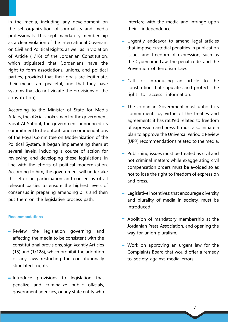in the media, including any development on the self-organization of journalists and media professionals. This kept mandatory membership as a clear violation of the International Covenant on Civil and Political Rights, as well as in violation of Article (1/16) of the Jordanian Constitution, which stipulated that (Jordanians have the right to form associations, unions, and political parties, provided that their goals are legitimate, their means are peaceful, and that they have systems that do not violate the provisions of the .(constitution

According to the Minister of State for Media Affairs, the ofPcial spokesman for the government, Faisal Al-Shboul, the government announced its commitment to the outputs and recommendations of the Royal Committee on Modernization of the Political System. It began implementing them at several levels, including a course of action for reviewing and developing these legislations in line with the efforts of political modernization. According to him, the government will undertake this effort in participation and consensus of all relevant parties to ensure the highest levels of consensus in preparing amending bills and then put them on the legislative process path.

#### Recommendations

- **-** Review the legislation governing and affecting the media to be consistent with the constitutional provisions, signiÞcantly Articles  $(15)$  and  $(1/128)$ , which prohibit the adoption of any laws restricting the constitutionally stipulated rights.
- $\blacksquare$  Introduce provisions to legislation that penalize and criminalize public of Pcials, government agencies, or any state entity who

interfere with the media and infringe upon their independence.

- **-** Urgently endeavor to amend legal articles that impose custodial penalties in publication issues and freedom of expression, such as the Cybercrime Law, the penal code, and the Prevention of Terrorism Law.
- $\blacksquare$  Call for introducing an article to the constitution that stipulates and protects the right to access information.
- $\blacksquare$  The Jordanian Government must uphold its commitments by virtue of the treaties and agreements it has ratiÞed related to freedom of expression and press. It must also initiate a plan to approve the Universal Periodic Review (UPR) recommendations related to the media.
- Publishing issues must be treated as civil and not criminal matters while exaggerating civil compensation orders must be avoided so as not to lose the right to freedom of expression and press.
- **-** Legislative incentives; that encourage diversity and plurality of media in society, must be .introduced
- $\blacksquare$  Abolition of mandatory membership at the Jordanian Press Association, and opening the way for union pluralism.
- **Work on approving an urgent law for the** Complaints Board that would offer a remedy to society against media errors.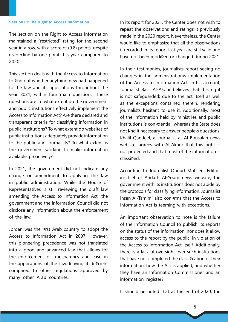## **Section III: The Right to Access Information**

The section on the Right to Access Information maintained a "restricted" rating for the second year in a row, with a score of  $(9.8)$  points, despite its decline by one point this year compared to 2020.

This section deals with the Access to Information to Pnd out whether anything new had happened to the law and its applications throughout the year 2021; within four main questions. These questions are: to what extent do the government and public institutions effectively implement the Access to Information Act? Are there declared and transparent criteria for classifying information in public institutions? To what extent do websites of public institutions adequately provide information to the public and journalists? To what extent is the government working to make information available proactively?

In 2021, the government did not indicate any change or amendment to applying the law in public administration. While the House of Representatives is still reviewing the draft law amending the Access to Information Act, the government and the Information Council did not disclose any Information about the enforcement of the law

Jordan was the Þrst Arab country to adopt the Access to Information Act in 2007. However, this pioneering precedence was not translated into a good and advanced law that allows for the enforcement of transparency and ease in the applications of the law, leaving it deÞcient compared to other regulations approved by many other Arab countries.

In its report for 2021, the Center does not wish to repeat the observations and ratings it previously made in the 2020 report. Nevertheless, the Center would like to emphasize that all the observations it recorded in its report last year are still valid and have not been modiÞed or changed during 2021.

In their testimonies, journalists report seeing no changes in the administration  $\frac{1}{\sqrt{2}}$  implementation of the Access to Information Act. In his account, Journalist Basil Al-Akour believes that this right is not safeguarded; due to the act itself as well as the exceptions contained therein, rendering journalists hesitant to use it. Additionally, most of the information held by ministries and public institutions is con¤dential, whereas the State does not Pnd it necessary to answer people is questions. Khalil Qandeel, a journalist at Al-Bousalah news website, agrees with Al-Akour that this right is not protected and that most of the information is classibed.

in-chief of Ahdath Al-Youm news website, the According to Journalist Ohoud Mohsen, Editorgovernment with its institutions does not abide by the protocols for classifying information. Journalist Ihsan Al-Tamimi also conprms that the Access to Information Act is teeming with exceptions.

An important observation to note is the failure of the Information Council to publish its reports on the status of the information, nor does it allow access to the report by the public, in violation of the Access to Information Act itself. Additionally, there is a lack of oversight over such institutions that have not completed the classiPcation of their information, how the Act is applied, and whether they have an Information Commissioner and an information register?

It should be noted that at the end of 2020, the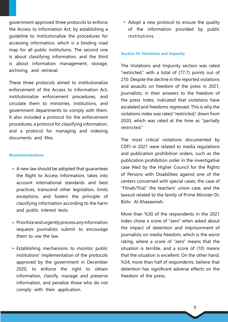government approved three protocols to enforce the Access to Information Act; by establishing a quideline to institutionalize the procedures for accessing information, which is a binding road map for all public institutions. The second one is about classifying information, and the third is about information management, storage, archiving, and retrieval.

These three protocols aimed to institutionalize enforcement of the Access to Information Act, institutionalize enforcement procedures, and circulate them to ministries, institutions, and government departments to comply with them. It also included a protocol for the enforcement procedures, a protocol for classifying information, and a protocol for managing and indexing documents and bles

### Recommendations

- $\blacksquare$  A new law should be adopted that quarantees the Right to Access Information, takes into account international standards and best practices, transcend other legislation, limits exceptions, and fosters the principle of classifying information according to the harm and public interest tests.
- $\blacksquare$  Prioritize and urgently process any information requests journalists submit to encourage them to use the law.
- **-** Establishing mechanisms to monitor public institutions' implementation of the protocols approved by the government in December 2020, to enforce the right to obtain information, classify, manage and preserve information, and penalize those who do not comply with their application.

 $\blacksquare$  Adopt a new protocol to ensure the quality of the information provided by public .institutions

#### **Section IV: Violations and Impunity**

The Violations and Impunity section was rated "restricted," with a total of (77.7) points out of 210. Despite the decline in the reported violations and assaults on freedom of the press in 2021, iournalists, in their answers to the freedom of the press Index, indicated that violations have escalated and freedoms regressed. This is why the violations index was rated "restricted" down from 2020, which was rated at the time as "partially ".restricted

The most critical violations documented by CDFJ in 2021 were related to media regulations and publication prohibition orders, such as the publication prohibition order in the investigative case Pled by the Higher Council for the Rights of Persons with Disabilities against one of the centers concerned with special cases, the case of "Fitnah/Trial," the teachers' union case, and the lawsuit related to the family of Prime Minister Dr. Bishr Al-Khasawneh.

More than %30 of the respondents in the 2021 index chose a score of "zero" when asked about the impact of detention and imprisonment of journalists on media freedom, which is the worst rating, where a score of "zero" means that the situation is terrible, and a score of  $(10)$  means that the situation is excellent. On the other hand. %54, more than half of respondents, believe that detention has signiÞcant adverse effects on the freedom of the press.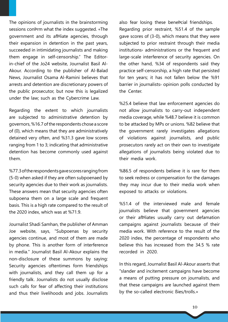The opinions of journalists in the brainstorming sessions conPrm what the index suggested. «The government and its afÞliate agencies, through their expansion in detention in the past years, succeeded in intimidating journalists and making Akour. According to the publisher of Al-Balad in-chief of the Jo24 website, Journalist Basil Althem engage in self-censorship." The Editor-News, Journalist Osama Al-Ramini believes that arrests and detention are discretionary powers of the public prosecutor, but now this is legalized under the law; such as the Cybercrime Law.

Regarding the extent to which journalists are subjected to administrative detention by governors, %16.7 of the respondents chose a score of  $(0)$ , which means that they are administratively detained very often, and %31.3 gave low scores ranging from 1 to 3; indicating that administrative detention has become commonly used against .them

%77.3 of the respondents gave scores ranging from  $(5-0)$  when asked if they are often subpoenaed by security agencies due to their work as journalists. These answers mean that security agencies often subpoena them on a large scale and frequent basis. This is a high rate compared to the result of the 2020 index, which was at  $%71.9$ .

Journalist Shadi Samhan, the publisher of Amman Joe website, says, "Subpoenas by security agencies continue, and most of them are made by phone. This is another form of interference in media." Journalist Basil Al-Akour explains the non-disclosure of these summons by saying: Security agencies oftentimes form friendships with journalists, and they call them up for a friendly talk. Journalists do not usually disclose such calls for fear of affecting their institutions and thus their livelihoods and jobs. Journalists

also fear losing these benePcial friendships. Regarding prior restraint, %51.4 of the sample gave scores of  $(3-0)$ , which means that they were subjected to prior restraint through their media institutions» administrations or the frequent and large-scale interference of security agencies. On the other hand, %34 of respondents said they practice self-censorship, a high rate that persisted for ten years; it has not fallen below the %91 barrier in journalists opinion polls conducted by the Center

%25.4 believe that law enforcement agencies do not allow journalists to carry-out independent media coverage, while %48.7 believe it is common to be attacked by MPs or unions. %82 believe that the government rarely investigates allegations of violations against journalists, and public prosecutors rarely act on their own to investigate allegations of journalists being violated due to their media work.

%86.5 of respondents believe it is rare for them to seek redress or compensation for the damages they may incur due to their media work when exposed to attacks or violations.

 $%51.4$  of the interviewed male and female journalists believe that government agencies or their afPliates usually carry out defamation campaigns against journalists because of their media work. With reference to the result of the 2020 index, the percentage of respondents who believe this has increased from the  $34.5$  % rate recorded in 2020.

In this regard, Journalist Basil Al-Akour asserts that "slander and incitement campaigns have become a means of putting pressure on journalists, and that these campaigns are launched against them by the so-called electronic Bies/trolls.»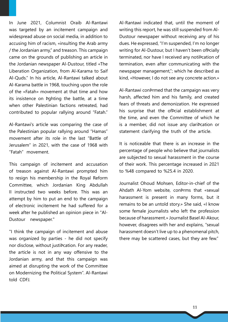In June 2021, Columnist Oraib Al-Rantawi was targeted by an incitement campaign and widespread abuse on social media, in addition to accusing him of racism, «insulting the Arab army  $\ell$  the Jordanian army," and treason. This campaign came on the grounds of publishing an article in the Jordanian newspaper Al-Dustour, titled «The Liberation Organization, from Al-Karama to Saif Al-Quds." In his article, Al-Rantawi talked about Al-Karama battle in 1968, touching upon the role of the «Fatah» movement at that time and how its insistence on Pahting the battle, at a time when other Palestinian factions retreated, had contributed to popular rallying around "Fatah."

Al-Rantawi's article was comparing the case of the Palestinian popular rallying around "Hamas" movement after its role in the last "Battle of Jerusalem" in 2021, with the case of 1968 with "Fatah" movement.

This campaign of incitement and accusation of treason against Al-Rantawi prompted him to resign his membership in the Royal Reform Committee, which Jordanian King Abdullah Il instructed two weeks before. This was an attempt by him to put an end to the campaign of electronic incitement he had suffered for a week after he published an opinion piece in "Al-<br>Dustour – newspaper."

"I think the campaign of incitement and abuse was organized by parties - he did not specify nor disclose, without iustibcation. For any reader, the article is not in any way offensive to the Jordanian army, and that this campaign was aimed at disrupting the work of the Committee on Modernizing the Political System". Al-Rantawi told CDFJ

Al-Rantawi indicated that, until the moment of Dustour newspaper without receiving any of his writing this report, he was still suspended from Aldues. He expressed, "I'm suspended, I'm no longer writing for Al-Dustour, but I haven't been of Pcially terminated, nor have I received any notiÞcation of termination, even after communicating with the newspaper management,"; which he described as kind, «However, I do not see any concrete action.»

Al-Rantawi conÞrmed that the campaign was very harsh, affected him and his family, and created fears of threats and demonization. He expressed his surprise that the ofPcial establishment at the time, and even the Committee of which he is a member, did not issue any claribcation or statement clarifying the truth of the article.

It is noticeable that there is an increase in the percentage of people who believe that journalists are subjected to sexual harassment in the course of their work. This percentage increased in 2021 to %48 compared to %25.4 in 2020.

Journalist Ohoud Mohsen, Editor-in-chief of the Ahdath Al-Yom website, conPrms that «sexual harassment is present in many forms, but it remains to be an untold story.» She said, «I know some female journalists who left the profession because of harassment.» Journalist Basel Al-Akour. however, disagrees with her and explains, "sexual harassment doesn't live up to a phenomenal pitch, there may be scattered cases, but they are few."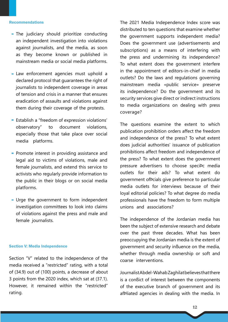#### Recommendations

- The judiciary should prioritize conducting an independent investigation into violations against journalists, and the media, as soon as they become known or published in mainstream media or social media platforms.
- Law enforcement agencies must uphold a declared protocol that quarantees the right of journalists to independent coverage in areas of tension and crisis in a manner that ensures eradication of assaults and violations against them during their coverage of the protests.
- " Establish a "freedom of expression violations" observatory" to document violations, especially those that take place over social media platforms.
- Promote interest in providing assistance and legal aid to victims of violations, male and female journalists, and extend this service to activists who regularly provide information to the public in their blogs or on social media .platforms
- Urge the government to form independent investigation committees to look into claims of violations against the press and male and female journalists.

### **Section V: Media Independence**

Section "V" related to the independence of the media received a "restricted" rating, with a total of  $(34.9)$  out of  $(100)$  points, a decrease of about 3 points from the 2020 index, which sat at  $(37.1)$ . However, it remained within the "restricted" rating.

The 2021 Media Independence Index score was distributed to ten questions that examine whether the government supports independent media? Does the government use (advertisements and subscriptions) as a means of interfering with the press and undermining its independence? To what extent does the government interfere in the appointment of editors-in-chief in media outlets? Do the laws and regulations governing mainstream media «public service» preserve its independence? Do the government and its security services give direct or indirect instructions to media organizations on dealing with press ?coverage

The questions examine the extent to which publication prohibition orders affect the freedom and independence of the press? To what extent does judicial authorities' issuance of publication prohibitions affect freedom and independence of the press? To what extent does the government pressure advertisers to choose specipc media outlets for their ads? To what extent do government of pcials give preference to particular media outlets for interviews because of their loyal editorial policies? To what degree do media professionals have the freedom to form multiple unions and associations?

The independence of the Jordanian media has been the subject of extensive research and debate over the past three decades. What has been preoccupying the Jordanian media is the extent of government and security inßuence on the media, whether through media ownership or soft and coarse interventions.

Journalist Abdel-Wahab Zaghilat believes that there is a conßict of interest between the components of the executive branch of government and its afPliated agencies in dealing with the media. In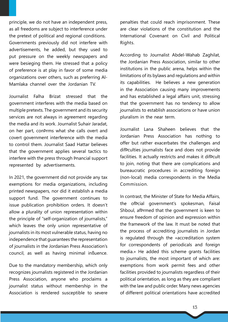principle, we do not have an independent press, as all freedoms are subject to interference under the pretext of political and regional conditions. Governments previously did not interfere with advertisements, he added, but they used to put pressure on the weekly newspapers and were besieging them. He stressed that a policy of preference is at play in favor of some media organizations over others, such as preferring Al-<br>Mamlaka-channel over the Jordanian TV.

Journalist Falha Brizat stressed that the government interferes with the media based on multiple pretexts. The government and its security services are not always in agreement regarding the media and its work. Journalist Suhair Jaradat, on her part, conPrms what she calls overt and covert government interference with the media to control them. Journalist Saad Hattar believes that the government applies several tactics to interfere with the press through Pnancial support represented by advertisements.

In 2021, the government did not provide any tax exemptions for media organizations, including printed newspapers, nor did it establish a media support fund. The government continues to issue publication prohibition orders. It doesn't allow a plurality of union representation within the principle of "self-organization of journalists," which leaves the only union representative of iournalists in its most vulnerable status, having no independence that quarantees the representation of journalists in the Jordanian Press Association's council, as well as having minimal inßuence.

Due to the mandatory membership, which only recognizes journalists registered in the Jordanian Press Association, anyone who proclaims a journalist status without membership in the Association is rendered susceptible to severe penalties that could reach imprisonment. These are clear violations of the constitution and the International Covenant on Civil and Political Rights.

According to Journalist Abdel-Wahab Zaghilat, the Jordanian Press Association, similar to other institutions in the public arena, helps within the limitations of its bylaws and regulations and within its capabilities. He believes a new generation in the Association causing many improvements and has established a legal affairs unit, stressing that the government has no tendency to allow journalists to establish associations or have union pluralism in the near term.

Journalist Lana Shaheen believes that the Jordanian Press Association has nothing to offer but rather exacerbates the challenges and difPculties journalists face and does not provide facilities. It actually restricts and makes it difÞcult to join, noting that there are complications and bureaucratic procedures in accrediting foreign (non-local) media correspondents in the Media .Commission

In contrast, the Minister of State for Media Affairs, the ofPcial government's spokesman, Faisal Shboul, afÞrmed that the government is keen to ensure freedom of opinion and expression within the framework of the law. It must be noted that the process of accrediting journalists in Jordan is regulated through the «accreditation system for correspondents of periodicals and foreign media.» He added this scheme grants facilities to journalists, the most important of which are: exemptions from work permit fees and other facilities provided to journalists regardless of their political orientation, as long as they are compliant with the law and public order. Many news agencies of different political orientations have accredited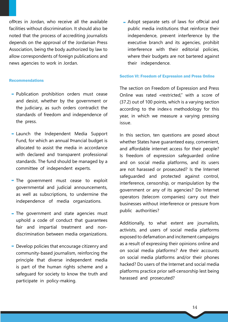ofÞces in Jordan, who receive all the available facilities without discrimination. It should also be noted that the process of accrediting journalists depends on the approval of the Jordanian Press Association, being the body authorized by law to allow correspondents of foreign publications and news agencies to work in Jordan.

#### Recommendations

- Publication prohibition orders must cease and desist, whether by the government or the judiciary, as such orders contradict the standards of freedom and independence of the press.
- $\blacksquare$  Launch the Independent Media Support Fund, for which an annual Pnancial budget is allocated to assist the media in accordance with declared and transparent professional standards. The fund should be managed by a committee of independent experts.
- $\blacksquare$  The government must cease to exploit governmental and judicial announcements, as well as subscriptions, to undermine the independence of media organizations.
- $\blacksquare$  The government and state agencies must uphold a code of conduct that quarantees discrimination between media organizations. fair and impartial treatment and non-
- **-** Develop policies that encourage citizenry and community-based journalism, reinforcing the principle that diverse independent media is part of the human rights scheme and a safeguard for society to know the truth and participate in policy-making.

 $\blacksquare$  Adopt separate sets of laws for of $P$ cial and public media institutions that reinforce their independence, prevent interference by the executive branch and its agencies, prohibit interference with their editorial policies, where their budgets are not bartered against their independence.

#### **Section VI: Freedom of Expression and Press Online**

The section on Freedom of Expression and Press Online was rated «restricted," with a score of  $(37.2)$  out of 100 points, which is a varying section according to the index>s methodology for this year, in which we measure a varying pressing issue.

In this section, ten questions are posed about whether States have guaranteed easy, convenient, and affordable internet access for their people? Is freedom of expression safeguarded online and on social media platforms, and its users are not harassed or prosecuted? Is the Internet safequarded and protected against control, interference, censorship, or manipulation by the government or any of its agencies? Do Internet operators (telecom companies) carry out their businesses without interference or pressure from public authorities?

Additionally, to what extent are journalists, activists, and users of social media platforms exposed to defamation and incitement campaigns as a result of expressing their opinions online and on social media platforms? Are their accounts on social media platforms and/or their phones hacked? Do users of the Internet and social media platforms practice prior self-censorship lest being harassed and prosecuted?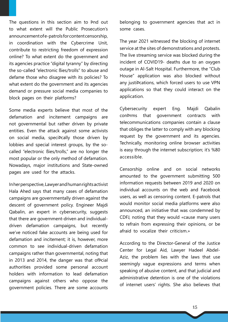The questions in this section aim to Pnd out to what extent will the Public Prosecution's announcement of e-patrols for content censorship, in coordination with the Cybercrime Unit, contribute to restricting freedom of expression online? To what extent do the government and its agencies practice "digital tyranny" by directing the so-called "electronic Bies/trolls" to abuse and defame those who disagree with its policies? To what extent do the government and its agencies demand or pressure social media companies to block pages on their platforms?

Some media experts believe that most of the defamation and incitement campaigns are not governmental but rather driven by private entities. Even the attack against some activists on social media, speciPcally those driven by called "electronic Bies/trolls," are no longer the lobbies and special interest groups, by the somost popular or the only method of defamation. Nowadays, major institutions and State-owned pages are used for the attacks.

In her perspective, Lawyer and human rights activist Hala Ahed says that many cases of defamation campaigns are governmentally driven against the descent of government policy. Engineer Majdi Qabalin, an expert in cybersecurity, suggests driven defamation campaigns, but recently that there are government-driven and individualwe've noticed fake accounts are being used for defamation and incitement; it is, however, more common to see individual-driven defamation campaigns rather than governmental, noting that in 2013 and 2014, the danger was that ofPcial authorities provided some personal account holders with information to lead defamation campaigns against others who oppose the government policies. There are some accounts

belonging to government agencies that act in some cases.

The year 2021 witnessed the blocking of internet service at the sites of demonstrations and protests. The live streaming service was blocked during the incident of COVID19- deaths due to an oxygen outage in Al-Salt Hospital. Furthermore, the "Club House" application was also blocked without any justiÞcations, which forced users to use VPN applications so that they could interact on the .application

Cybersecurity expert Eng. Majdi Qabalin con Prms that government contracts with telecommunications companies contain a clause that obliges the latter to comply with any blocking request by the government and its agencies. Technically, monitoring online browser activities is easy through the internet subscription; it's %80 .accessible

Censorship online and on social networks amounted to the government submitting 500 information requests between 2019 and 2020 on individual accounts on the web and Facebook users, as well as censoring content. E-patrols that would monitor social media platforms were also announced, an initiative that was condemned by CDFJ, noting that they would «cause many users to refrain from expressing their opinions, or be afraid to vocalize their criticism »

According to the Director-General of the Justice Aziz, the problem lies with the laws that use Center for Legal Aid, Lawyer Hadeel Abdelseemingly vague expressions and terms when speaking of abusive content, and that judicial and administrative detention is one of the violations of internet users' rights. She also believes that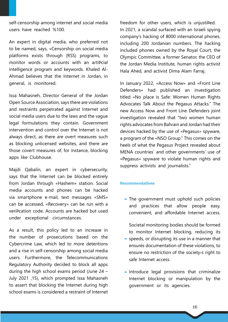self-censorship among internet and social media users have reached %100.

An expert in digital media, who preferred not to be named, says, «Censorship on social media platforms exists through (RSS) programs, to monitor words or accounts with an artiÞcial Ahmad believes that the Internet in Jordan, in intelligence program and keywords. Khaled Algeneral, is monitored.

Issa Mahasneh, Director General of the Jordan Open Source Association, says there are violations and restraints perpetrated against Internet and social media users due to the laws and the vague legal formulations they contain. Government intervention and control over the Internet is not always direct, as there are overt measures such as blocking unlicensed websites, and there are those covert measures of, for instance, blocking apps like Clubhouse.

Majdi Qabalin, an expert in cybersecurity, says that the Internet can be blocked entirely from Jordan through «Hashem» station. Social media accounts and phones can be hacked via smartphone e-mail, text messages «SMS» can be accessed, «Recovery» can be run with a veriÞcation code. Accounts are hacked but used under exceptional circumstances.

As a result, this policy led to an increase in the number of prosecutions based on the Cybercrime Law, which led to more detentions and a rise in self-censorship among social media users. Furthermore, the Telecommunications Regulatory Authority decided to block all apps during the high school exams period (June  $24 -$ July 2021 ,15), which prompted Issa Mahasneh to assert that blocking the Internet during high school exams is considered a restraint of Internet freedom for other users, which is unjustiÞed. In 2021, a scandal surfaced with an Israeli spying company's hacking of 8000 international phones, including 200 Jordanian numbers. The hacking included phones owned by the Royal Court, the Olympic Committee, a former Senator, the CEO of the Jordan Media Institute, human rights activist Hala Ahed, and activist Dima Alam Farraj.

In January 2022, «Access Now» and «Front Line Defenders» had published an investigation titled «No place is Safe: Women Human Rights Advocates Talk About the Pegasus Attacks." The new Access Now and Front Line Defenders joint investigation revealed that "two women human rights advocates from Bahrain and Jordan had their devices hacked by the use of «Pegasus» spyware, a program of the «NSO Group." This comes on the heels of what the Pegasus Project revealed about MENA countries' and other governments' use of «Pegasus» spyware to violate human rights and suppress activists and journalists."

## Recommendations

- The government must uphold such policies and practices that allow people easy, convenient, and affordable Internet access.

Societal monitoring bodies should be formed to monitor Internet blocking, reducing its

- speeds, or disrupting its use in a manner that ensures documentation of these violations. to ensure no restriction of the society<sup>></sup>s right to safe Internet access.
- $\blacksquare$  Introduce legal provisions that criminalize Internet blocking or manipulation by the government or its agencies.